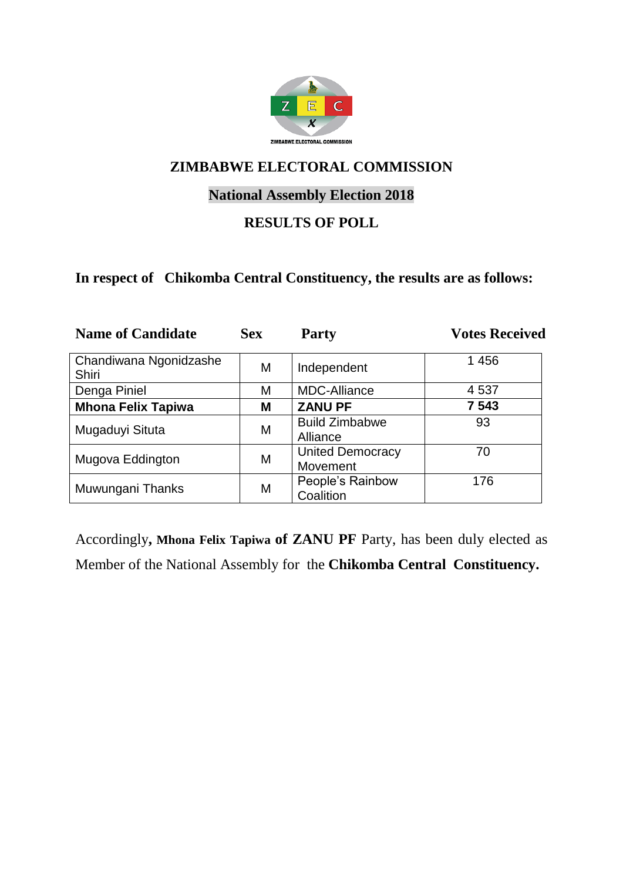

# **National Assembly Election 2018**

### **RESULTS OF POLL**

#### **In respect of Chikomba Central Constituency, the results are as follows:**

| <b>Name of Candidate</b>        | <b>Sex</b> | <b>Party</b>                        | <b>Votes Received</b> |
|---------------------------------|------------|-------------------------------------|-----------------------|
| Chandiwana Ngonidzashe<br>Shiri | M          | Independent                         | 1 4 5 6               |
| Denga Piniel                    | M          | <b>MDC-Alliance</b>                 | 4 5 3 7               |
| <b>Mhona Felix Tapiwa</b>       | M          | <b>ZANU PF</b>                      | 7 5 4 3               |
| Mugaduyi Situta                 | M          | <b>Build Zimbabwe</b><br>Alliance   | 93                    |
| Mugova Eddington                | M          | <b>United Democracy</b><br>Movement | 70                    |
| Muwungani Thanks                | M          | People's Rainbow<br>Coalition       | 176                   |

Accordingly**, Mhona Felix Tapiwa of ZANU PF** Party, has been duly elected as Member of the National Assembly for the **Chikomba Central Constituency.**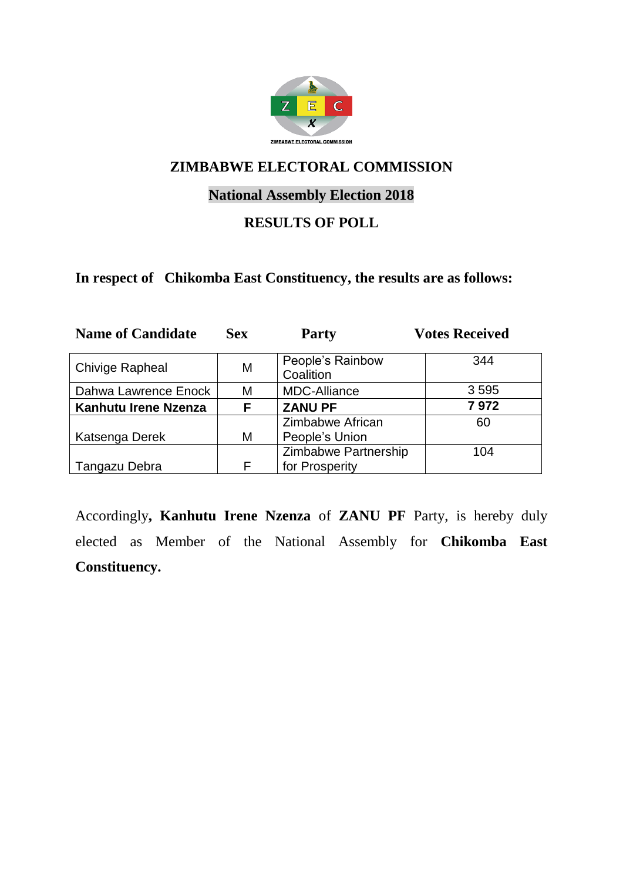

# **National Assembly Election 2018**

#### **RESULTS OF POLL**

#### **In respect of Chikomba East Constituency, the results are as follows:**

| <b>Name of Candidate</b> | <b>Sex</b> | <b>Party</b>                           | <b>Votes Received</b> |
|--------------------------|------------|----------------------------------------|-----------------------|
| <b>Chivige Rapheal</b>   | M          | People's Rainbow<br>Coalition          | 344                   |
| Dahwa Lawrence Enock     | Μ          | <b>MDC-Alliance</b>                    | 3 5 9 5               |
| Kanhutu Irene Nzenza     | F          | <b>ZANU PF</b>                         | 7972                  |
|                          |            | Zimbabwe African                       | 60                    |
| Katsenga Derek           | Μ          | People's Union                         |                       |
| Tangazu Debra            | F          | Zimbabwe Partnership<br>for Prosperity | 104                   |

Accordingly**, Kanhutu Irene Nzenza** of **ZANU PF** Party, is hereby duly elected as Member of the National Assembly for **Chikomba East Constituency.**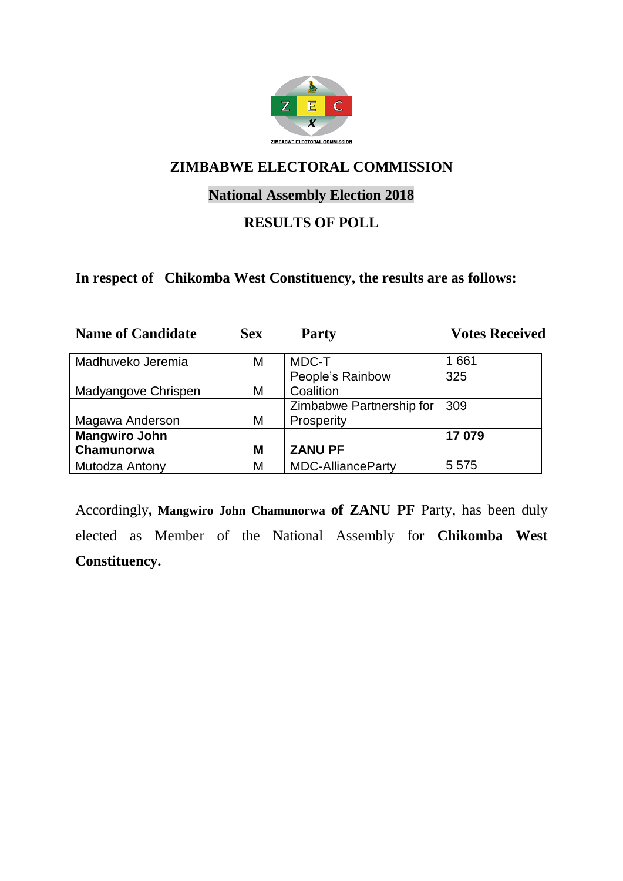

# **National Assembly Election 2018**

#### **RESULTS OF POLL**

#### **In respect of Chikomba West Constituency, the results are as follows:**

| <b>Name of Candidate</b> | <b>Sex</b> | <b>Party</b>             | <b>Votes Received</b> |
|--------------------------|------------|--------------------------|-----------------------|
| Madhuveko Jeremia        | Μ          | MDC-T                    | 1661                  |
|                          |            | People's Rainbow         | 325                   |
| Madyangove Chrispen      | М          | Coalition                |                       |
|                          |            | Zimbabwe Partnership for | 309                   |
| Magawa Anderson          | М          | Prosperity               |                       |
| <b>Mangwiro John</b>     |            |                          | 17079                 |
| Chamunorwa               | M          | <b>ZANU PF</b>           |                       |
| Mutodza Antony           | М          | <b>MDC-AllianceParty</b> | 5 5 7 5               |

Accordingly**, Mangwiro John Chamunorwa of ZANU PF** Party, has been duly elected as Member of the National Assembly for **Chikomba West Constituency.**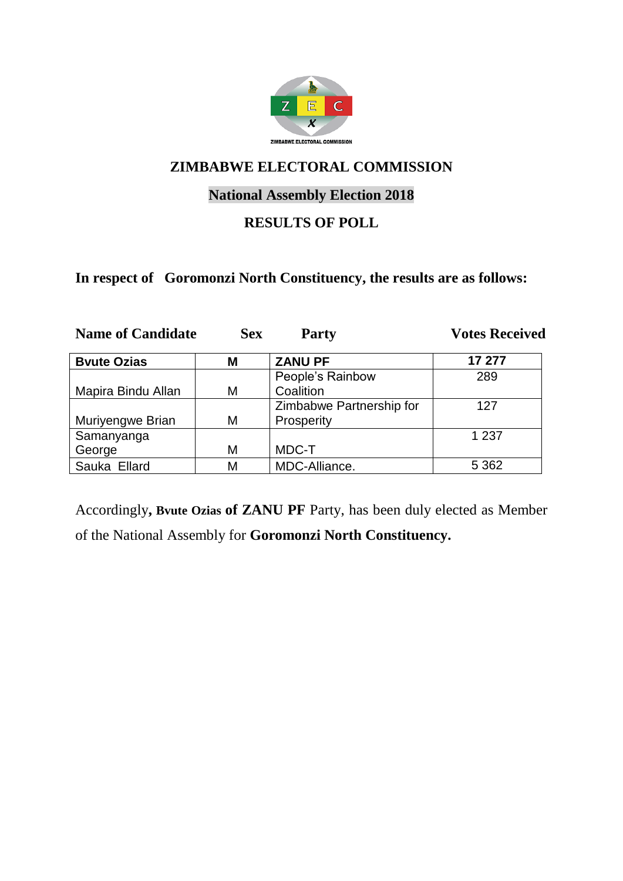

# **National Assembly Election 2018**

#### **RESULTS OF POLL**

#### **In respect of Goromonzi North Constituency, the results are as follows:**

| <b>Name of Candidate</b> | <b>Sex</b> | <b>Party</b>             | <b>Votes Received</b> |
|--------------------------|------------|--------------------------|-----------------------|
| <b>Byute Ozias</b>       | М          | <b>ZANU PF</b>           | 17 277                |
|                          |            | People's Rainbow         | 289                   |
| Mapira Bindu Allan       | M          | Coalition                |                       |
|                          |            | Zimbabwe Partnership for | 127                   |
| Muriyengwe Brian         | M          | Prosperity               |                       |
| Samanyanga               |            |                          | 1 2 3 7               |
| George                   | M          | MDC-T                    |                       |
| Sauka Ellard             | М          | MDC-Alliance.            | 5 3 6 2               |

Accordingly**, Bvute Ozias of ZANU PF** Party, has been duly elected as Member of the National Assembly for **Goromonzi North Constituency.**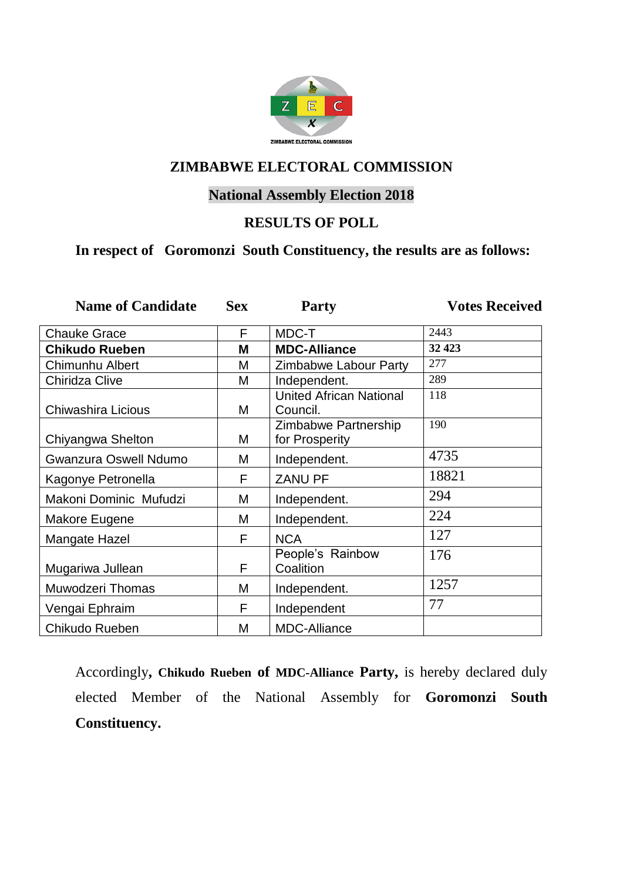

# **National Assembly Election 2018**

#### **RESULTS OF POLL**

# **In respect of Goromonzi South Constituency, the results are as follows:**

| <b>Name of Candidate</b>     | <b>Sex</b> | Party                                      | <b>Votes Received</b> |
|------------------------------|------------|--------------------------------------------|-----------------------|
| <b>Chauke Grace</b>          | F          | MDC-T                                      | 2443                  |
| <b>Chikudo Rueben</b>        | M          | <b>MDC-Alliance</b>                        | 32 4 23               |
| <b>Chimunhu Albert</b>       | M          | Zimbabwe Labour Party                      | 277                   |
| Chiridza Clive               | M          | Independent.                               | 289                   |
| Chiwashira Licious           | M          | <b>United African National</b><br>Council. | 118                   |
| Chiyangwa Shelton            | M          | Zimbabwe Partnership<br>for Prosperity     | 190                   |
| <b>Gwanzura Oswell Ndumo</b> | M          | Independent.                               | 4735                  |
| Kagonye Petronella           | F          | <b>ZANU PF</b>                             | 18821                 |
| Makoni Dominic Mufudzi       | M          | Independent.                               | 294                   |
| Makore Eugene                | M          | Independent.                               | 224                   |
| Mangate Hazel                | F          | <b>NCA</b>                                 | 127                   |
| Mugariwa Jullean             | F          | People's Rainbow<br>Coalition              | 176                   |
| <b>Muwodzeri Thomas</b>      | M          | Independent.                               | 1257                  |
| Vengai Ephraim               | F          | Independent                                | 77                    |
| Chikudo Rueben               | M          | <b>MDC-Alliance</b>                        |                       |

Accordingly**, Chikudo Rueben of MDC-Alliance Party,** is hereby declared duly elected Member of the National Assembly for **Goromonzi South Constituency.**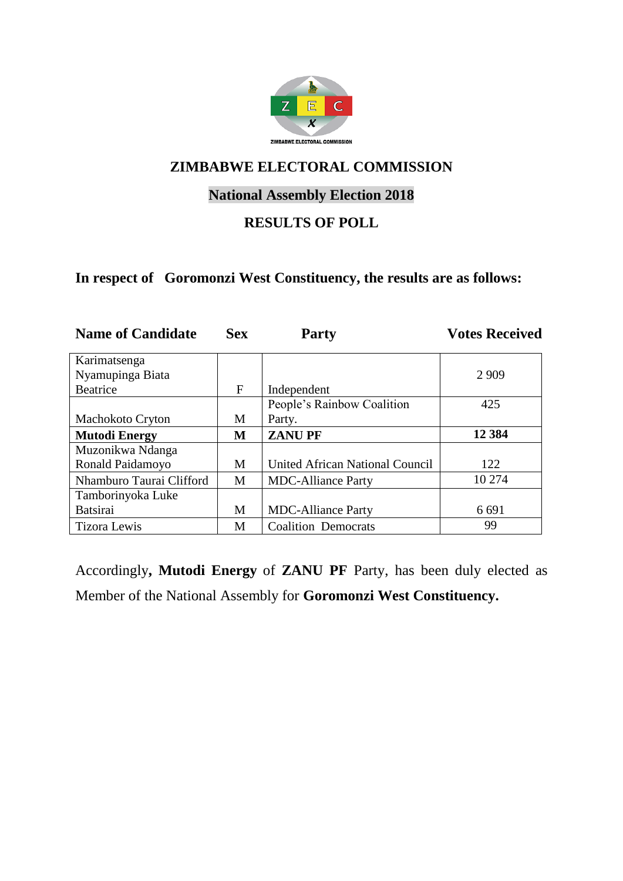

# **National Assembly Election 2018**

#### **RESULTS OF POLL**

#### **In respect of Goromonzi West Constituency, the results are as follows:**

| <b>Name of Candidate</b> | <b>Sex</b>  | <b>Party</b>                    | <b>Votes Received</b> |
|--------------------------|-------------|---------------------------------|-----------------------|
| Karimatsenga             |             |                                 |                       |
| Nyamupinga Biata         |             |                                 | 2 9 0 9               |
| <b>Beatrice</b>          | $\mathbf F$ | Independent                     |                       |
|                          |             | People's Rainbow Coalition      | 425                   |
| <b>Machokoto Cryton</b>  | M           | Party.                          |                       |
| <b>Mutodi Energy</b>     | M           | <b>ZANUPF</b>                   | 12 3 84               |
| Muzonikwa Ndanga         |             |                                 |                       |
| Ronald Paidamoyo         | M           | United African National Council | 122                   |
| Nhamburo Taurai Clifford | M           | <b>MDC-Alliance Party</b>       | 10 274                |
| Tamborinyoka Luke        |             |                                 |                       |
| <b>Batsirai</b>          | M           | <b>MDC-Alliance Party</b>       | 6 6 9 1               |
| <b>Tizora Lewis</b>      | М           | <b>Coalition Democrats</b>      | 99                    |

Accordingly**, Mutodi Energy** of **ZANU PF** Party, has been duly elected as Member of the National Assembly for **Goromonzi West Constituency.**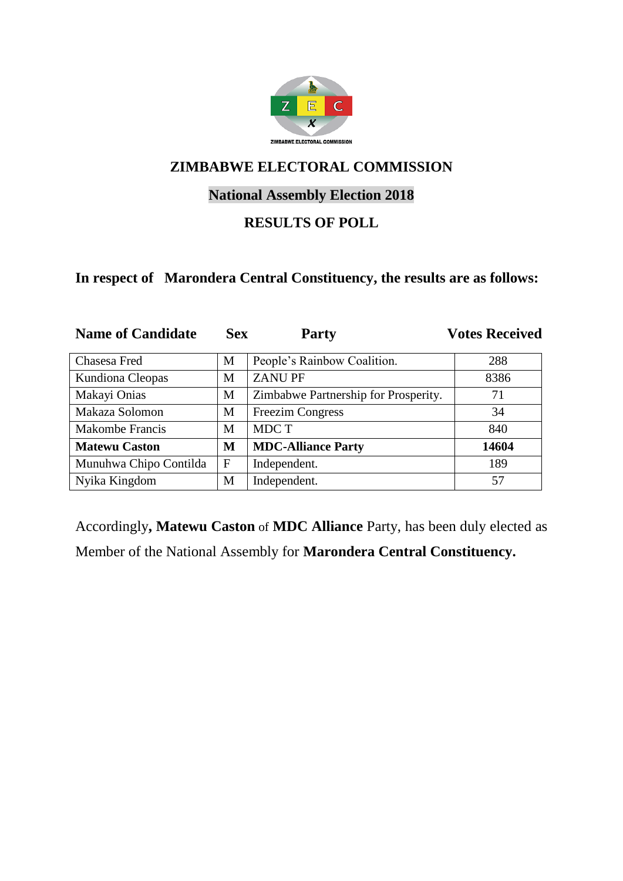

# **National Assembly Election 2018**

#### **RESULTS OF POLL**

#### **In respect of Marondera Central Constituency, the results are as follows:**

| <b>Name of Candidate</b> | <b>Sex</b>   | <b>Party</b>                         | <b>Votes Received</b> |
|--------------------------|--------------|--------------------------------------|-----------------------|
| Chasesa Fred             | M            | People's Rainbow Coalition.          | 288                   |
| Kundiona Cleopas         | М            | <b>ZANUPF</b>                        | 8386                  |
| Makayi Onias             | M            | Zimbabwe Partnership for Prosperity. | 71                    |
| Makaza Solomon           | M            | <b>Freezim Congress</b>              | 34                    |
| <b>Makombe Francis</b>   | M            | MDC T                                | 840                   |
| <b>Matewu Caston</b>     | M            | <b>MDC-Alliance Party</b>            | 14604                 |
| Munuhwa Chipo Contilda   | $\mathbf{F}$ | Independent.                         | 189                   |
| Nyika Kingdom            | M            | Independent.                         | 57                    |

Accordingly**, Matewu Caston** of **MDC Alliance** Party, has been duly elected as Member of the National Assembly for **Marondera Central Constituency.**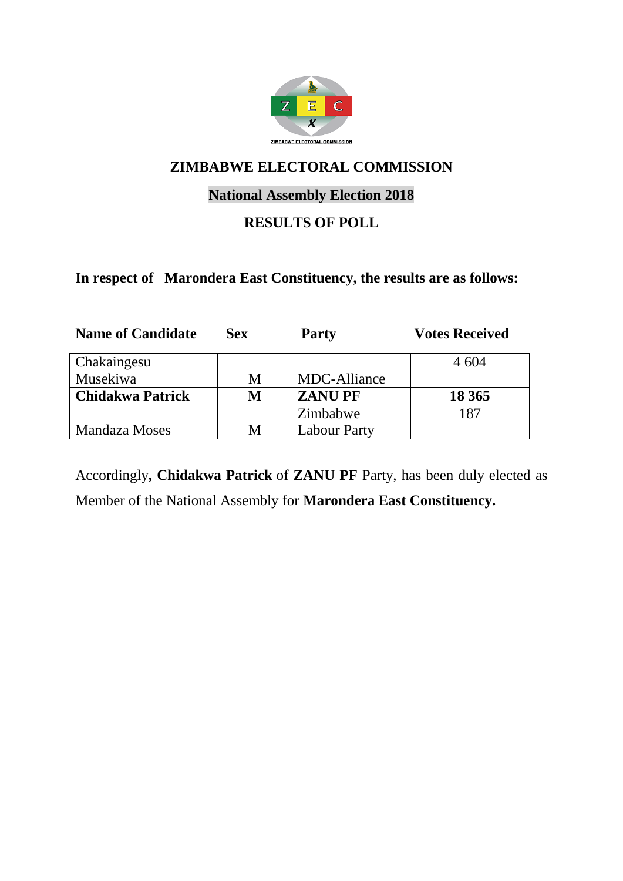

# **National Assembly Election 2018**

# **RESULTS OF POLL**

#### **In respect of Marondera East Constituency, the results are as follows:**

| <b>Name of Candidate</b> | <b>Sex</b> | <b>Party</b>        | <b>Votes Received</b> |
|--------------------------|------------|---------------------|-----------------------|
| Chakaingesu              |            |                     | 4 604                 |
| Musekiwa                 | М          | MDC-Alliance        |                       |
| <b>Chidakwa Patrick</b>  | M          | <b>ZANUPF</b>       | 18 3 65               |
|                          |            | Zimbabwe            | 187                   |
| <b>Mandaza Moses</b>     | M          | <b>Labour Party</b> |                       |

Accordingly**, Chidakwa Patrick** of **ZANU PF** Party, has been duly elected as Member of the National Assembly for **Marondera East Constituency.**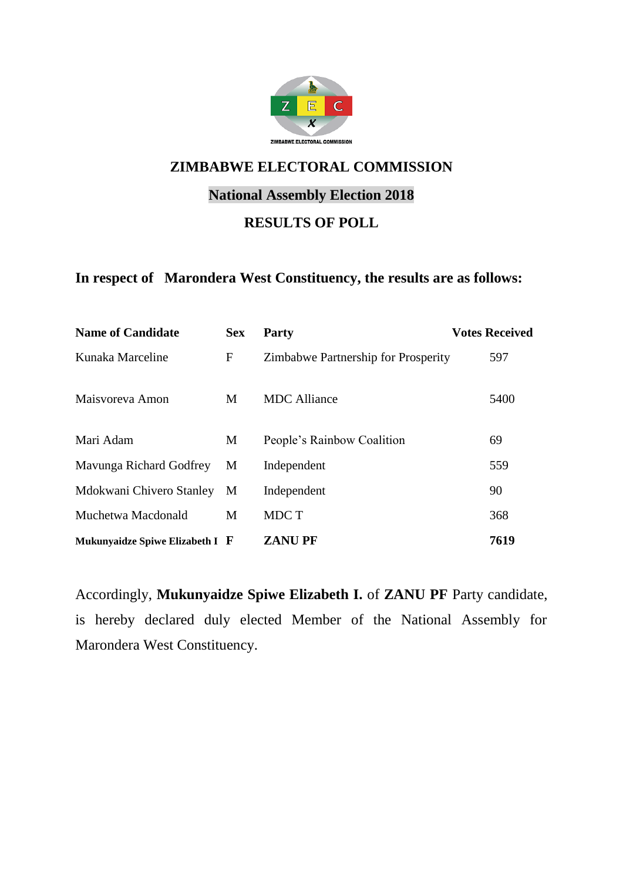

# **National Assembly Election 2018**

#### **RESULTS OF POLL**

#### **In respect of Marondera West Constituency, the results are as follows:**

| <b>Name of Candidate</b>        | <b>Sex</b>   | <b>Party</b>                        | <b>Votes Received</b> |
|---------------------------------|--------------|-------------------------------------|-----------------------|
| Kunaka Marceline                | $\mathbf{F}$ | Zimbabwe Partnership for Prosperity | 597                   |
| Maisvoreva Amon                 | M            | <b>MDC</b> Alliance                 | 5400                  |
| Mari Adam                       | M            | People's Rainbow Coalition          | 69                    |
| Mavunga Richard Godfrey         | M            | Independent                         | 559                   |
| Mdokwani Chivero Stanley        | M            | Independent                         | 90                    |
| Muchetwa Macdonald              | M            | MDC T                               | 368                   |
| Mukunyaidze Spiwe Elizabeth I F |              | <b>ZANUPF</b>                       | 7619                  |

Accordingly, **Mukunyaidze Spiwe Elizabeth I.** of **ZANU PF** Party candidate, is hereby declared duly elected Member of the National Assembly for Marondera West Constituency.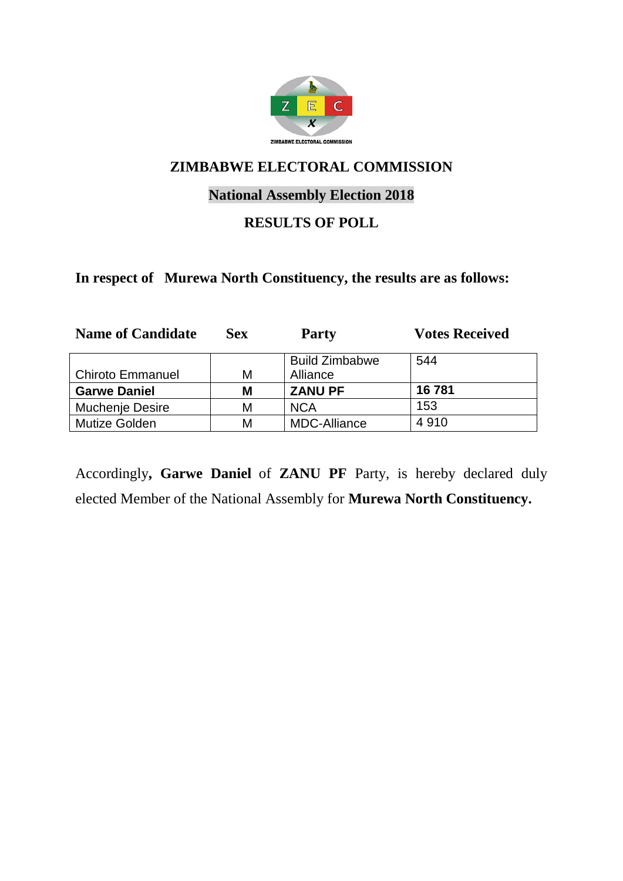

# **National Assembly Election 2018**

#### **RESULTS OF POLL**

#### **In respect of Murewa North Constituency, the results are as follows:**

| <b>Name of Candidate</b> | <b>Sex</b> | <b>Party</b>          | <b>Votes Received</b> |
|--------------------------|------------|-----------------------|-----------------------|
|                          |            | <b>Build Zimbabwe</b> | 544                   |
| <b>Chiroto Emmanuel</b>  | М          | Alliance              |                       |
| <b>Garwe Daniel</b>      | М          | <b>ZANU PF</b>        | 16781                 |
| <b>Muchenje Desire</b>   | М          | <b>NCA</b>            | 153                   |
| Mutize Golden            | М          | <b>MDC-Alliance</b>   | 4910                  |

Accordingly**, Garwe Daniel** of **ZANU PF** Party, is hereby declared duly elected Member of the National Assembly for **Murewa North Constituency.**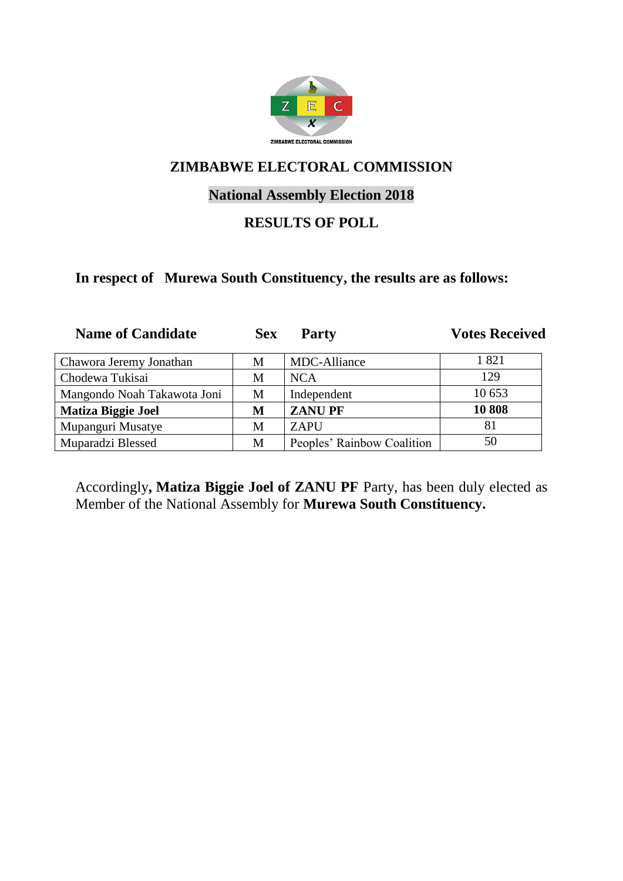

# **National Assembly Election 2018**

#### **RESULTS OF POLL**

#### **In respect of Murewa South Constituency, the results are as follows:**

| <b>Name of Candidate</b>    | <b>Sex</b> | <b>Party</b>               | <b>Votes Received</b> |
|-----------------------------|------------|----------------------------|-----------------------|
| Chawora Jeremy Jonathan     | M          | MDC-Alliance               | 1821                  |
| Chodewa Tukisai             | М          | <b>NCA</b>                 | 129                   |
| Mangondo Noah Takawota Joni | M          | Independent                | 10 653                |
| <b>Matiza Biggie Joel</b>   | M          | <b>ZANUPF</b>              | 10808                 |
| Mupanguri Musatye           | М          | <b>ZAPU</b>                | 81                    |
| Muparadzi Blessed           | M          | Peoples' Rainbow Coalition | 50                    |

Accordingly**, Matiza Biggie Joel of ZANU PF** Party, has been duly elected as Member of the National Assembly for **Murewa South Constituency.**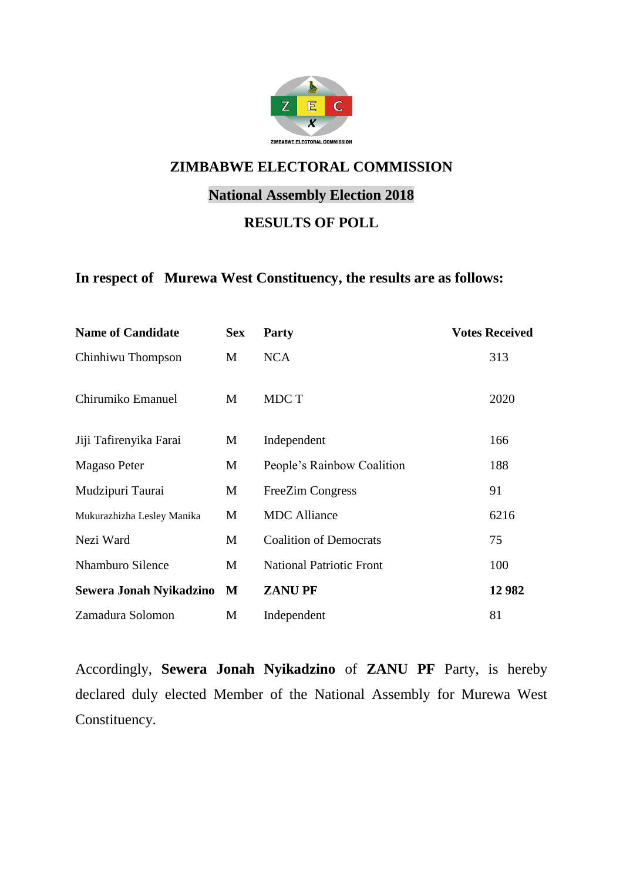

# **National Assembly Election 2018**

#### **RESULTS OF POLL**

#### **In respect of Murewa West Constituency, the results are as follows:**

| <b>Name of Candidate</b>   | <b>Sex</b> | <b>Party</b>                    | <b>Votes Received</b> |
|----------------------------|------------|---------------------------------|-----------------------|
| Chinhiwu Thompson          | M          | <b>NCA</b>                      | 313                   |
| Chirumiko Emanuel          | M          | MDC T                           | 2020                  |
| Jiji Tafirenyika Farai     | M          | Independent                     | 166                   |
| Magaso Peter               | M          | People's Rainbow Coalition      | 188                   |
| Mudzipuri Taurai           | M          | <b>FreeZim Congress</b>         | 91                    |
| Mukurazhizha Lesley Manika | M          | <b>MDC</b> Alliance             | 6216                  |
| Nezi Ward                  | M          | <b>Coalition of Democrats</b>   | 75                    |
| <b>Nhamburo Silence</b>    | М          | <b>National Patriotic Front</b> | 100                   |
| Sewera Jonah Nyikadzino    | M          | <b>ZANUPF</b>                   | 12 982                |
| Zamadura Solomon           | M          | Independent                     | 81                    |

Accordingly, **Sewera Jonah Nyikadzino** of **ZANU PF** Party, is hereby declared duly elected Member of the National Assembly for Murewa West Constituency.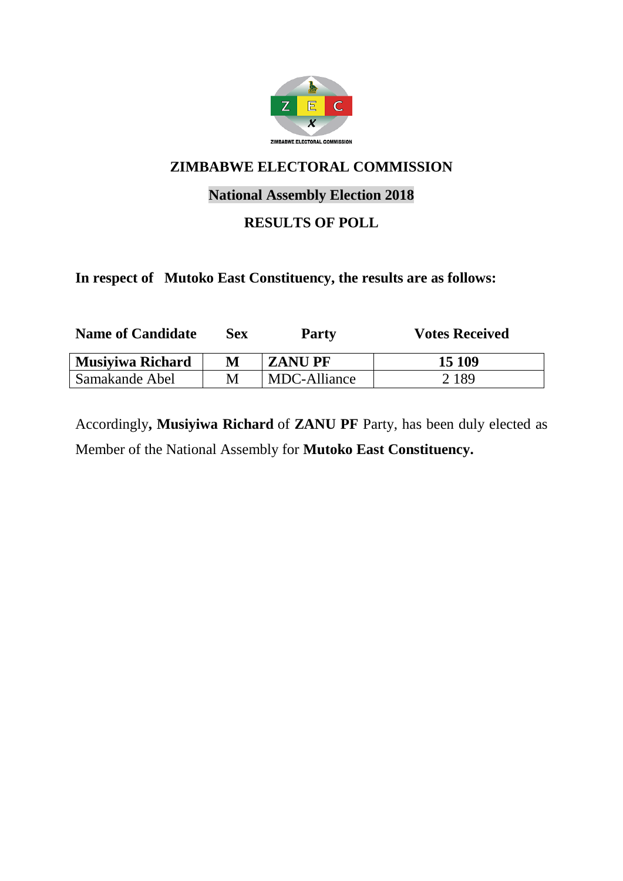

# **National Assembly Election 2018**

# **RESULTS OF POLL**

#### **In respect of Mutoko East Constituency, the results are as follows:**

| <b>Name of Candidate</b> | Sex | <b>Party</b>  | <b>Votes Received</b> |
|--------------------------|-----|---------------|-----------------------|
| <b>Musiyiwa Richard</b>  | M   | <b>ZANUPF</b> | 15 109                |
| Samakande Abel           | M   | MDC-Alliance  | 2 1 8 9               |

Accordingly**, Musiyiwa Richard** of **ZANU PF** Party, has been duly elected as Member of the National Assembly for **Mutoko East Constituency.**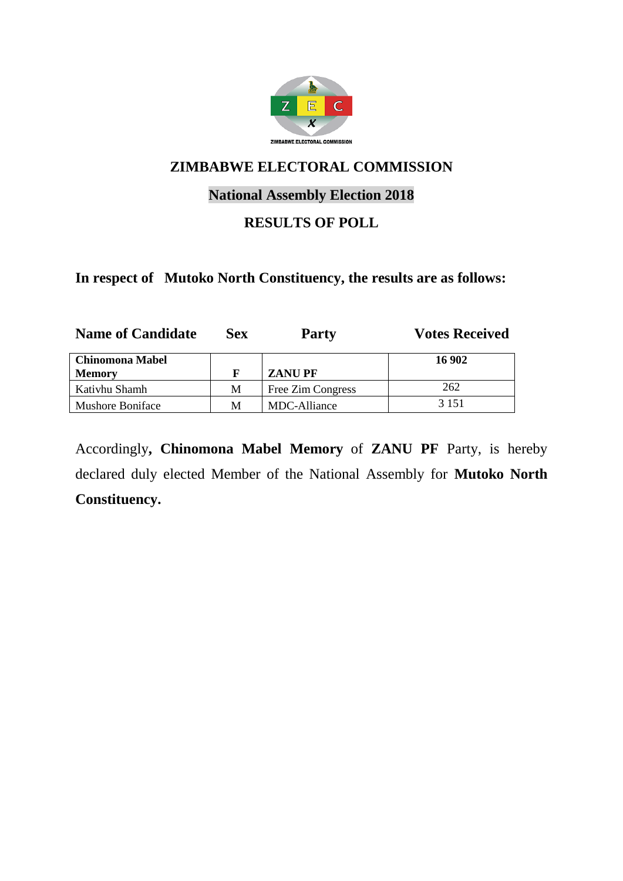

# **National Assembly Election 2018**

#### **RESULTS OF POLL**

#### **In respect of Mutoko North Constituency, the results are as follows:**

| <b>Name of Candidate</b> | Sex | <b>Party</b>      | <b>Votes Received</b> |
|--------------------------|-----|-------------------|-----------------------|
| <b>Chinomona Mabel</b>   |     |                   | 16 902                |
| <b>Memory</b>            |     | <b>ZANUPF</b>     |                       |
| Kativhu Shamh            | M   | Free Zim Congress | 262                   |
| Mushore Boniface         | M   | MDC-Alliance      | 3 1 5 1               |

Accordingly**, Chinomona Mabel Memory** of **ZANU PF** Party, is hereby declared duly elected Member of the National Assembly for **Mutoko North Constituency.**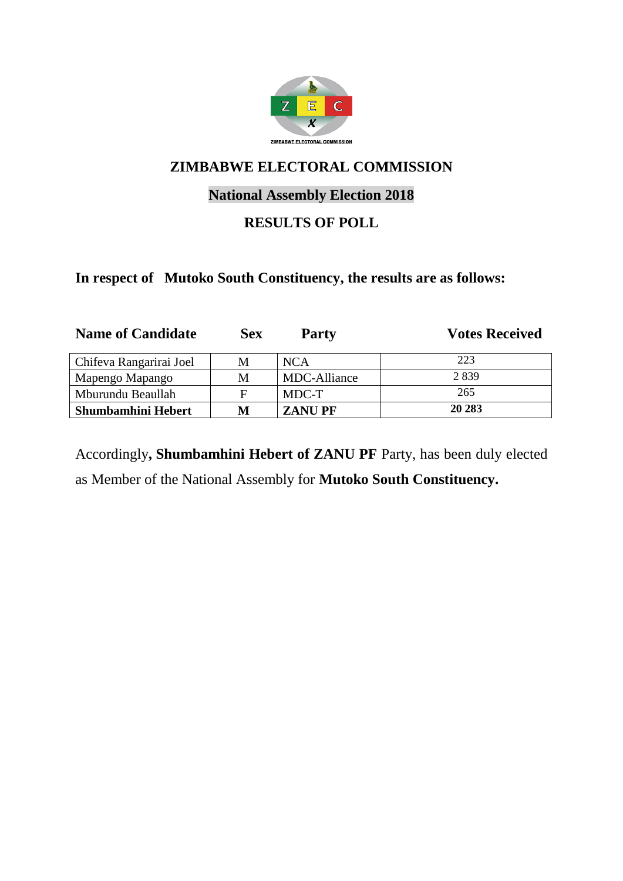

# **National Assembly Election 2018**

# **RESULTS OF POLL**

#### **In respect of Mutoko South Constituency, the results are as follows:**

| <b>Name of Candidate</b> | <b>Sex</b> | <b>Party</b>  | <b>Votes Received</b> |
|--------------------------|------------|---------------|-----------------------|
| Chifeva Rangarirai Joel  | M          | <b>NCA</b>    | 223                   |
| Mapengo Mapango          | М          | MDC-Alliance  | 2839                  |
| Mburundu Beaullah        | F          | MDC-T         | 265                   |
| Shumbamhini Hebert       | М          | <b>ZANUPF</b> | 20 28 3               |

Accordingly**, Shumbamhini Hebert of ZANU PF** Party, has been duly elected as Member of the National Assembly for **Mutoko South Constituency.**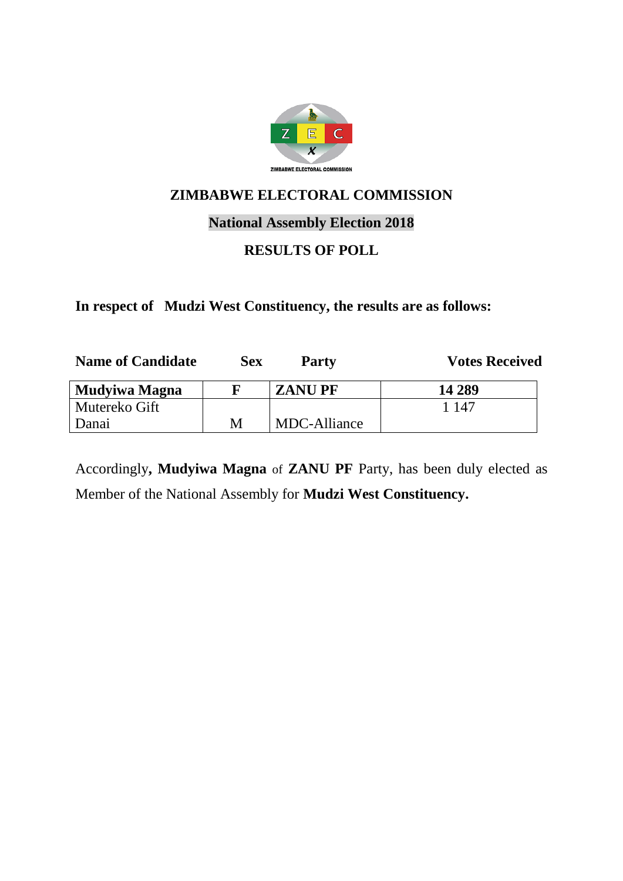

#### **National Assembly Election 2018**

## **RESULTS OF POLL**

**In respect of Mudzi West Constituency, the results are as follows:**

| <b>Name of Candidate</b> | <b>Sex</b> | Party         | <b>Votes Received</b> |
|--------------------------|------------|---------------|-----------------------|
| Mudyiwa Magna            |            | <b>ZANUPF</b> | 14 289                |
| Mutereko Gift            |            |               | 1 147                 |
| Danai                    | M          | MDC-Alliance  |                       |

Accordingly**, Mudyiwa Magna** of **ZANU PF** Party, has been duly elected as Member of the National Assembly for **Mudzi West Constituency.**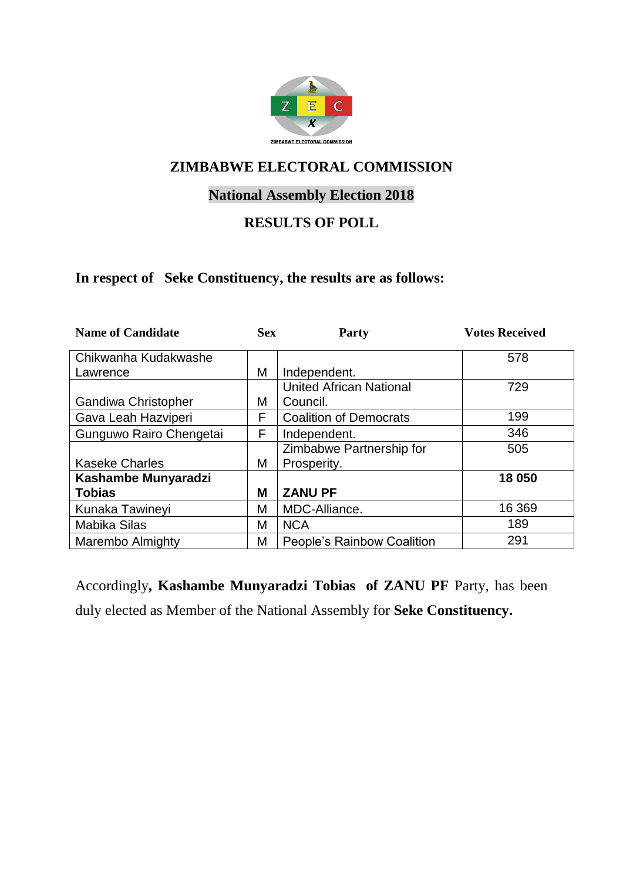

# **National Assembly Election 2018**

### **RESULTS OF POLL**

#### **In respect of Seke Constituency, the results are as follows:**

| <b>Name of Candidate</b> | <b>Sex</b> | Party                             | <b>Votes Received</b> |
|--------------------------|------------|-----------------------------------|-----------------------|
| Chikwanha Kudakwashe     |            |                                   | 578                   |
| Lawrence                 | Μ          | Independent.                      |                       |
|                          |            | <b>United African National</b>    | 729                   |
| Gandiwa Christopher      | М          | Council.                          |                       |
| Gava Leah Hazviperi      | F          | <b>Coalition of Democrats</b>     | 199                   |
| Gunguwo Rairo Chengetai  | F          | Independent.                      | 346                   |
|                          |            | Zimbabwe Partnership for          | 505                   |
| <b>Kaseke Charles</b>    | Μ          | Prosperity.                       |                       |
| Kashambe Munyaradzi      |            |                                   | 18 050                |
| <b>Tobias</b>            | M          | <b>ZANU PF</b>                    |                       |
| Kunaka Tawineyi          | М          | MDC-Alliance.                     | 16 369                |
| Mabika Silas             | М          | <b>NCA</b>                        | 189                   |
| <b>Marembo Almighty</b>  | Μ          | <b>People's Rainbow Coalition</b> | 291                   |

Accordingly**, Kashambe Munyaradzi Tobias of ZANU PF** Party, has been duly elected as Member of the National Assembly for **Seke Constituency.**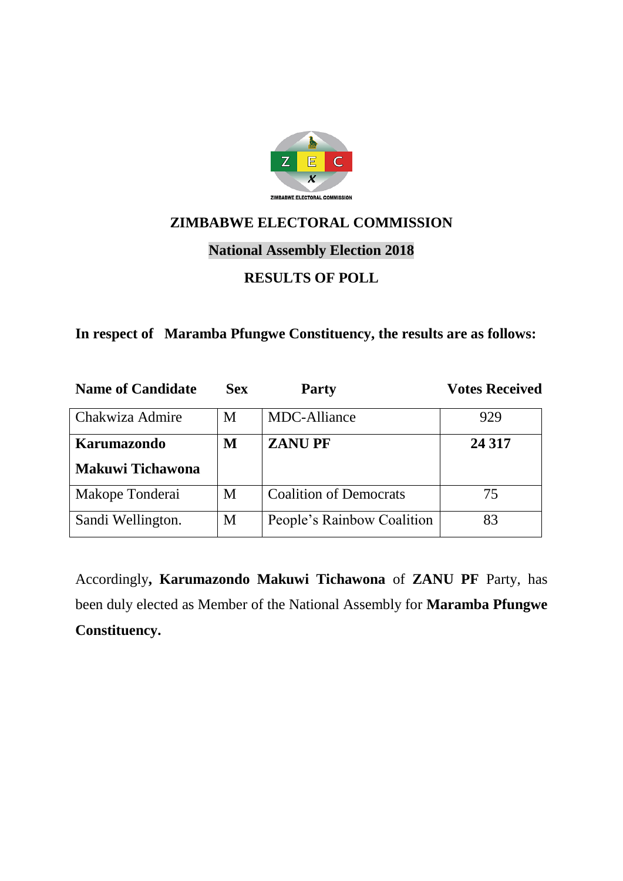

# **National Assembly Election 2018**

#### **RESULTS OF POLL**

#### **In respect of Maramba Pfungwe Constituency, the results are as follows:**

| <b>Name of Candidate</b> | <b>Sex</b> | <b>Party</b>                  | <b>Votes Received</b> |
|--------------------------|------------|-------------------------------|-----------------------|
| Chakwiza Admire          | M          | MDC-Alliance                  | 929                   |
| <b>Karumazondo</b>       | M          | <b>ZANUPF</b>                 | 24 3 17               |
| <b>Makuwi Tichawona</b>  |            |                               |                       |
| Makope Tonderai          | M          | <b>Coalition of Democrats</b> | 75                    |
| Sandi Wellington.        | M          | People's Rainbow Coalition    | 83                    |

Accordingly**, Karumazondo Makuwi Tichawona** of **ZANU PF** Party, has been duly elected as Member of the National Assembly for **Maramba Pfungwe Constituency.**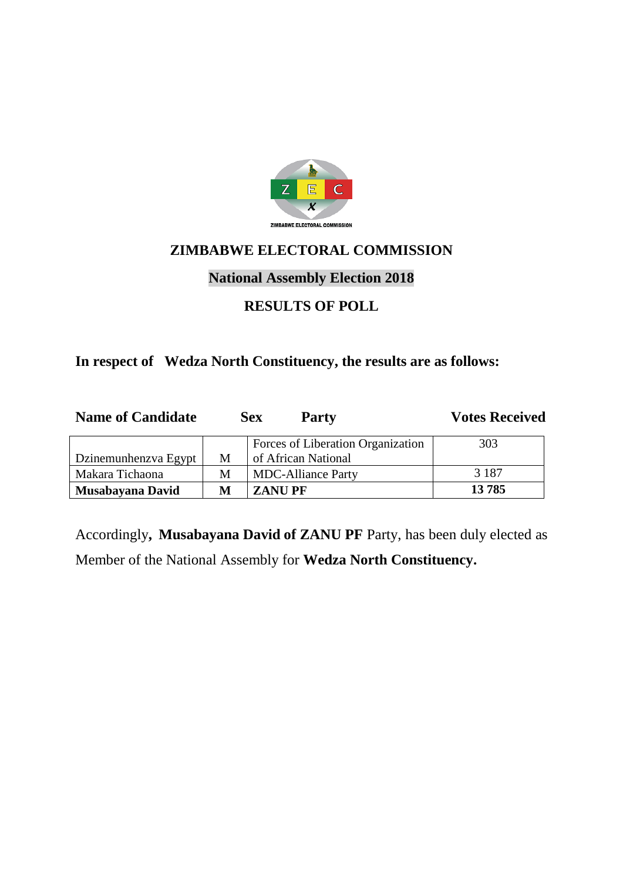

# **National Assembly Election 2018**

## **RESULTS OF POLL**

#### **In respect of Wedza North Constituency, the results are as follows:**

| <b>Name of Candidate</b> |   | <b>Sex</b><br><b>Party</b>        | <b>Votes Received</b> |
|--------------------------|---|-----------------------------------|-----------------------|
|                          |   | Forces of Liberation Organization | 303                   |
| Dzinemunhenzva Egypt     | M | of African National               |                       |
| Makara Tichaona          | M | <b>MDC-Alliance Party</b>         | 3 1 8 7               |
| Musabayana David         | M | <b>ZANUPF</b>                     | 13785                 |

Accordingly**, Musabayana David of ZANU PF** Party, has been duly elected as Member of the National Assembly for **Wedza North Constituency.**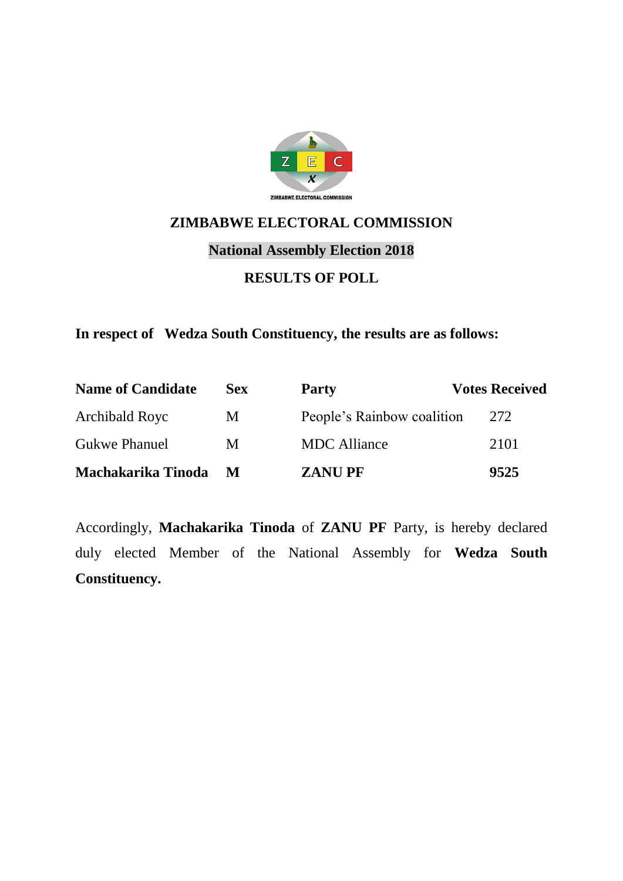

# **National Assembly Election 2018**

#### **RESULTS OF POLL**

**In respect of Wedza South Constituency, the results are as follows:**

| <b>Name of Candidate</b> | Sex | <b>Party</b>               | <b>Votes Received</b> |
|--------------------------|-----|----------------------------|-----------------------|
| Archibald Royc           | M   | People's Rainbow coalition | 272                   |
| <b>Gukwe Phanuel</b>     | M   | <b>MDC</b> Alliance        | 2101                  |
| Machakarika Tinoda       | M   | <b>ZANUPF</b>              | 9525                  |

Accordingly, **Machakarika Tinoda** of **ZANU PF** Party, is hereby declared duly elected Member of the National Assembly for **Wedza South Constituency.**